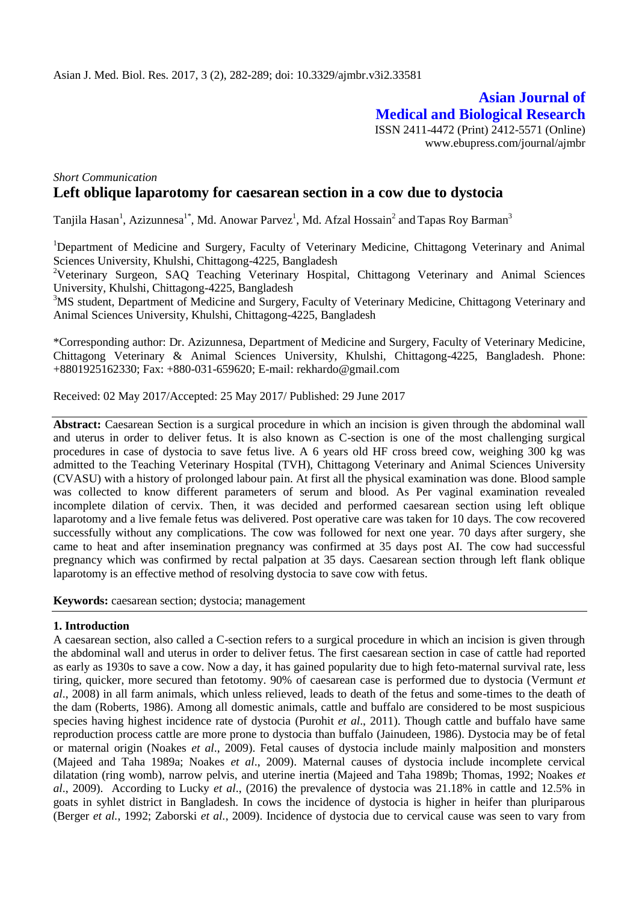# **Asian Journal of Medical and Biological Research** ISSN 2411-4472 (Print) 2412-5571 (Online)

www.ebupress.com/journal/ajmbr

# *Short Communication* **Left oblique laparotomy for caesarean section in a cow due to dystocia**

Tanjila Hasan<sup>1</sup>, Azizunnesa<sup>1\*</sup>, Md. Anowar Parvez<sup>1</sup>, Md. Afzal Hossain<sup>2</sup> and Tapas Roy Barman<sup>3</sup>

<sup>1</sup>Department of Medicine and Surgery, Faculty of Veterinary Medicine, Chittagong Veterinary and Animal Sciences University, Khulshi, Chittagong-4225, Bangladesh

<sup>2</sup>Veterinary Surgeon, SAQ Teaching Veterinary Hospital, Chittagong Veterinary and Animal Sciences University, Khulshi, Chittagong-4225, Bangladesh

<sup>3</sup>MS student, Department of Medicine and Surgery, Faculty of Veterinary Medicine, Chittagong Veterinary and Animal Sciences University, Khulshi, Chittagong-4225, Bangladesh

\*Corresponding author: Dr. Azizunnesa, Department of Medicine and Surgery, Faculty of Veterinary Medicine, Chittagong Veterinary & Animal Sciences University, Khulshi, Chittagong-4225, Bangladesh. Phone: +8801925162330; Fax: +880-031-659620; E-mail: [rekhardo@gmail.com](mailto:rekhardo@gmail.com)

Received: 02 May 2017/Accepted: 25 May 2017/ Published: 29 June 2017

Abstract: Caesarean Section is a surgical procedure in which an incision is given through the abdominal wall and uterus in order to deliver fetus. It is also known as C-section is one of the most challenging surgical procedures in case of dystocia to save fetus live. A 6 years old HF cross breed cow, weighing 300 kg was admitted to the Teaching Veterinary Hospital (TVH), Chittagong Veterinary and Animal Sciences University (CVASU) with a history of prolonged labour pain. At first all the physical examination was done. Blood sample was collected to know different parameters of serum and blood. As Per vaginal examination revealed incomplete dilation of cervix. Then, it was decided and performed caesarean section using left oblique laparotomy and a live female fetus was delivered. Post operative care was taken for 10 days. The cow recovered successfully without any complications. The cow was followed for next one year. 70 days after surgery, she came to heat and after insemination pregnancy was confirmed at 35 days post AI. The cow had successful pregnancy which was confirmed by rectal palpation at 35 days. Caesarean section through left flank oblique laparotomy is an effective method of resolving dystocia to save cow with fetus.

**Keywords:** caesarean section; dystocia; management

# **1. Introduction**

A caesarean section, also called a C-section refers to a surgical procedure in which an incision is given through the abdominal wall and uterus in order to deliver fetus. The first caesarean section in case of cattle had reported as early as 1930s to save a cow. Now a day, it has gained popularity due to high feto-maternal survival rate, less tiring, quicker, more secured than fetotomy. 90% of caesarean case is performed due to dystocia (Vermunt *et al*., 2008) in all farm animals, which unless relieved, leads to death of the fetus and some-times to the death of the dam (Roberts, 1986). Among all domestic animals, cattle and buffalo are considered to be most suspicious species having highest incidence rate of dystocia (Purohit *et al*., 2011). Though cattle and buffalo have same reproduction process cattle are more prone to dystocia than buffalo (Jainudeen, 1986). Dystocia may be of fetal or maternal origin (Noakes *et al*., 2009). Fetal causes of dystocia include mainly malposition and monsters (Majeed and Taha 1989a; Noakes *et al*., 2009). Maternal causes of dystocia include incomplete cervical dilatation (ring womb), narrow pelvis, and uterine inertia (Majeed and Taha 1989b; Thomas, 1992; Noakes *et al*., 2009). According to Lucky *et al*., (2016) the prevalence of dystocia was 21.18% in cattle and 12.5% in goats in syhlet district in Bangladesh. In cows the incidence of dystocia is higher in heifer than pluriparous (Berger *et al.*, 1992; Zaborski *et al.*, 2009). Incidence of dystocia due to cervical cause was seen to vary from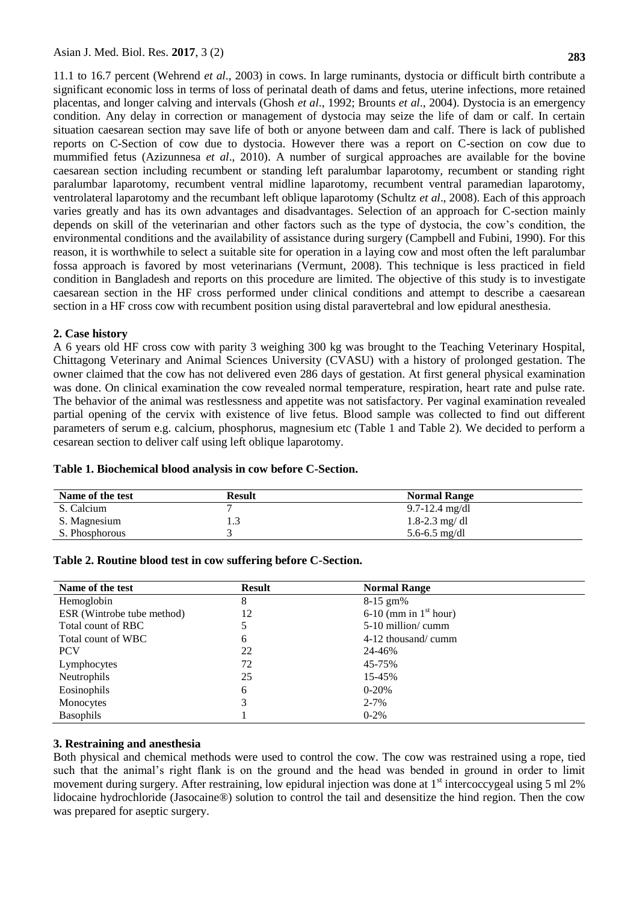11.1 to 16.7 percent (Wehrend *et al*., 2003) in cows. In large ruminants, dystocia or difficult birth contribute a significant economic loss in terms of loss of perinatal death of dams and fetus, uterine infections, more retained placentas, and longer calving and intervals (Ghosh *et al*., 1992; Brounts *et al*., 2004). Dystocia is an emergency condition. Any delay in correction or management of dystocia may seize the life of dam or calf. In certain situation caesarean section may save life of both or anyone between dam and calf. There is lack of published reports on C-Section of cow due to dystocia. However there was a report on C-section on cow due to mummified fetus (Azizunnesa *et al*., 2010). A number of surgical approaches are available for the bovine caesarean section including recumbent or standing left paralumbar laparotomy, recumbent or standing right paralumbar laparotomy, recumbent ventral midline laparotomy, recumbent ventral paramedian laparotomy, ventrolateral laparotomy and the recumbant left oblique laparotomy (Schultz *et al*., 2008). Each of this approach varies greatly and has its own advantages and disadvantages. Selection of an approach for C-section mainly depends on skill of the veterinarian and other factors such as the type of dystocia, the cow's condition, the environmental conditions and the availability of assistance during surgery (Campbell and Fubini, 1990). For this reason, it is worthwhile to select a suitable site for operation in a laying cow and most often the left paralumbar fossa approach is favored by most veterinarians (Vermunt, 2008). This technique is less practiced in field condition in Bangladesh and reports on this procedure are limited. The objective of this study is to investigate caesarean section in the HF cross performed under clinical conditions and attempt to describe a caesarean section in a HF cross cow with recumbent position using distal paravertebral and low epidural anesthesia.

#### **2. Case history**

A 6 years old HF cross cow with parity 3 weighing 300 kg was brought to the Teaching Veterinary Hospital, Chittagong Veterinary and Animal Sciences University (CVASU) with a history of prolonged gestation. The owner claimed that the cow has not delivered even 286 days of gestation. At first general physical examination was done. On clinical examination the cow revealed normal temperature, respiration, heart rate and pulse rate. The behavior of the animal was restlessness and appetite was not satisfactory. Per vaginal examination revealed partial opening of the cervix with existence of live fetus. Blood sample was collected to find out different parameters of serum e.g. calcium, phosphorus, magnesium etc (Table 1 and Table 2). We decided to perform a cesarean section to deliver calf using left oblique laparotomy.

| Name of the test | Result | <b>Normal Range</b> |
|------------------|--------|---------------------|
| S. Calcium       |        | $9.7 - 12.4$ mg/dl  |
| S. Magnesium     |        | 1.8-2.3 mg/dl       |
| S. Phosphorous   |        | 5.6-6.5 mg/dl       |

# **Table 1. Biochemical blood analysis in cow before C-Section.**

| Name of the test           | <b>Result</b> | <b>Normal Range</b>       |  |
|----------------------------|---------------|---------------------------|--|
| Hemoglobin                 | 8             | $8-15$ gm%                |  |
| ESR (Wintrobe tube method) | 12            | $6-10$ (mm in $1st$ hour) |  |
| Total count of RBC         |               | $5-10$ million/ cumm      |  |
| Total count of WBC         | 6             | $4-12$ thousand/ cumm     |  |
| <b>PCV</b>                 | 22            | 24-46%                    |  |
| Lymphocytes                | 72            | 45-75%                    |  |
| <b>Neutrophils</b>         | 25            | 15-45%                    |  |
| Eosinophils                | 6             | $0-20%$                   |  |
| Monocytes                  | 3             | $2 - 7\%$                 |  |
| <b>Basophils</b>           |               | $0 - 2\%$                 |  |

## **Table 2. Routine blood test in cow suffering before C-Section.**

# **3. Restraining and anesthesia**

Both physical and chemical methods were used to control the cow. The cow was restrained using a rope, tied such that the animal's right flank is on the ground and the head was bended in ground in order to limit movement during surgery. After restraining, low epidural injection was done at  $1<sup>st</sup>$  intercoccygeal using 5 ml 2% lidocaine hydrochloride (Jasocaine®) solution to control the tail and desensitize the hind region. Then the cow was prepared for aseptic surgery.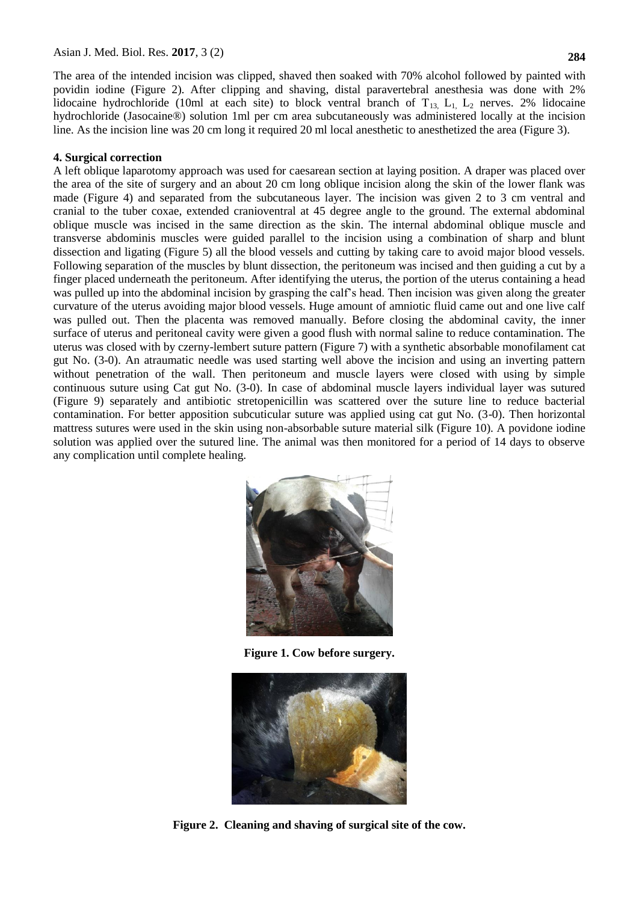The area of the intended incision was clipped, shaved then soaked with 70% alcohol followed by painted with povidin iodine (Figure 2). After clipping and shaving, distal paravertebral anesthesia was done with 2% lidocaine hydrochloride (10ml at each site) to block ventral branch of  $T_{13}$ ,  $L_1$ ,  $L_2$  nerves. 2% lidocaine

## **4. Surgical correction**

A left oblique laparotomy approach was used for caesarean section at laying position. A draper was placed over the area of the site of surgery and an about 20 cm long oblique incision along the skin of the lower flank was made (Figure 4) and separated from the subcutaneous layer. The incision was given 2 to 3 cm ventral and cranial to the tuber coxae, extended cranioventral at 45 degree angle to the ground. The external abdominal oblique muscle was incised in the same direction as the skin. The internal abdominal oblique muscle and transverse abdominis muscles were guided parallel to the incision using a combination of sharp and blunt dissection and ligating (Figure 5) all the blood vessels and cutting by taking care to avoid major blood vessels. Following separation of the muscles by blunt dissection, the peritoneum was incised and then guiding a cut by a finger placed underneath the peritoneum. After identifying the uterus, the portion of the uterus containing a head was pulled up into the abdominal incision by grasping the calf's head. Then incision was given along the greater curvature of the uterus avoiding major blood vessels. Huge amount of amniotic fluid came out and one live calf was pulled out. Then the placenta was removed manually. Before closing the abdominal cavity, the inner surface of uterus and peritoneal cavity were given a good flush with normal saline to reduce contamination. The uterus was closed with by czerny-lembert suture pattern (Figure 7) with a synthetic absorbable monofilament cat gut No. (3-0). An atraumatic needle was used starting well above the incision and using an inverting pattern without penetration of the wall. Then peritoneum and muscle layers were closed with using by simple continuous suture using Cat gut No. (3-0). In case of abdominal muscle layers individual layer was sutured (Figure 9) separately and antibiotic stretopenicillin was scattered over the suture line to reduce bacterial contamination. For better apposition subcuticular suture was applied using cat gut No. (3-0). Then horizontal mattress sutures were used in the skin using non-absorbable suture material silk (Figure 10). A povidone iodine solution was applied over the sutured line. The animal was then monitored for a period of 14 days to observe any complication until complete healing.

hydrochloride (Jasocaine®) solution 1ml per cm area subcutaneously was administered locally at the incision line. As the incision line was 20 cm long it required 20 ml local anesthetic to anesthetized the area (Figure 3).



**Figure 1. Cow before surgery.**



**Figure 2. Cleaning and shaving of surgical site of the cow.**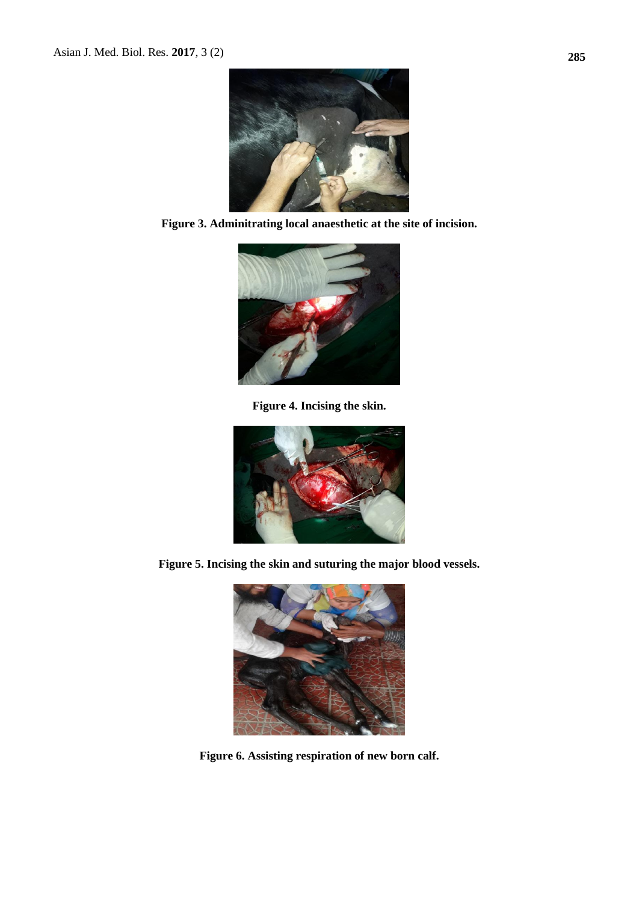

**Figure 3. Adminitrating local anaesthetic at the site of incision.**



**Figure 4. Incising the skin.**



**Figure 5. Incising the skin and suturing the major blood vessels.**



**Figure 6. Assisting respiration of new born calf.**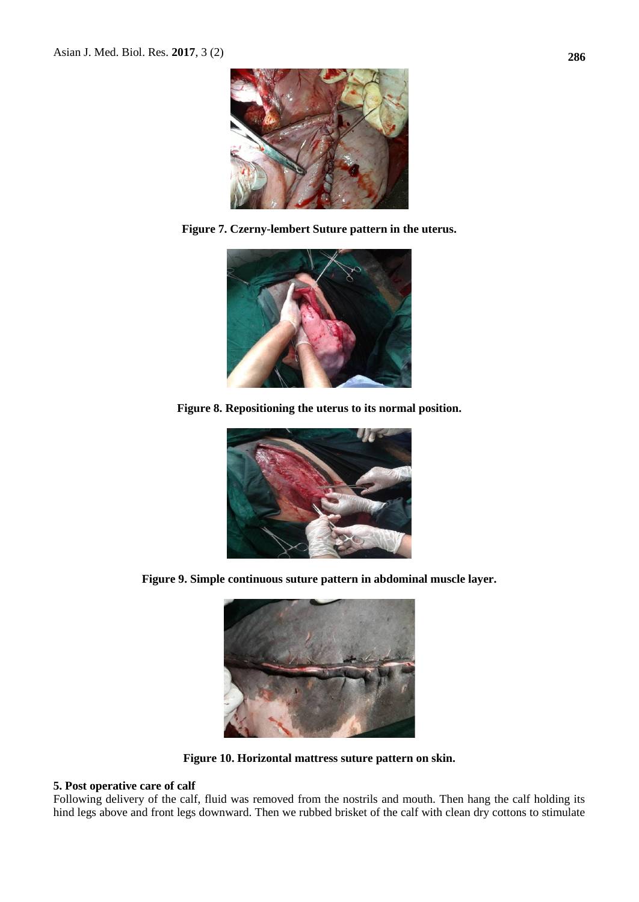

**Figure 7. Czerny-lembert Suture pattern in the uterus.**



**Figure 8. Repositioning the uterus to its normal position.**



**Figure 9. Simple continuous suture pattern in abdominal muscle layer.**



**Figure 10. Horizontal mattress suture pattern on skin.**

# **5. Post operative care of calf**

Following delivery of the calf, fluid was removed from the nostrils and mouth. Then hang the calf holding its hind legs above and front legs downward. Then we rubbed brisket of the calf with clean dry cottons to stimulate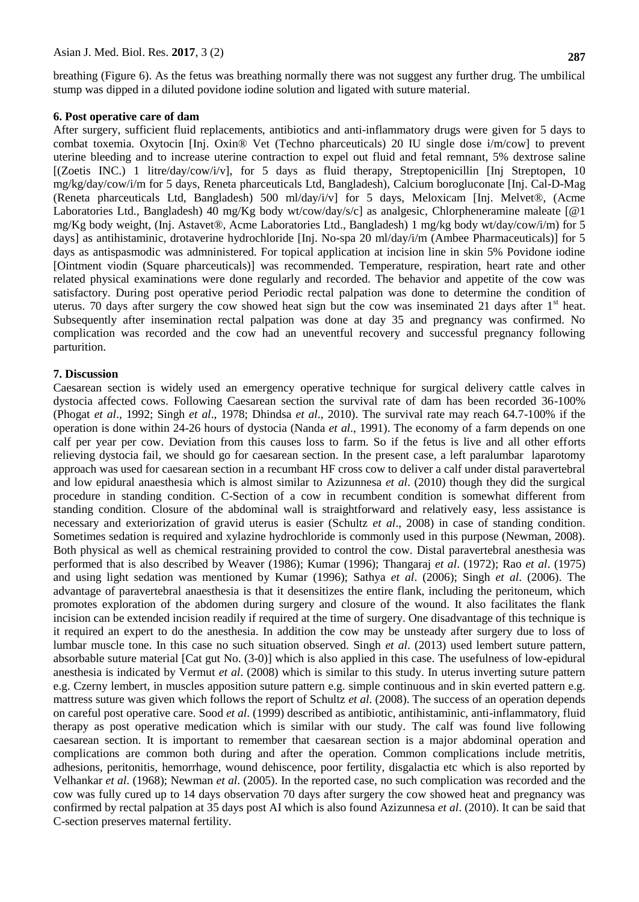breathing (Figure 6). As the fetus was breathing normally there was not suggest any further drug. The umbilical stump was dipped in a diluted povidone iodine solution and ligated with suture material.

#### **6. Post operative care of dam**

After surgery, sufficient fluid replacements, antibiotics and anti-inflammatory drugs were given for 5 days to combat toxemia. Oxytocin [Inj. Oxin® Vet (Techno pharceuticals) 20 IU single dose i/m/cow] to prevent uterine bleeding and to increase uterine contraction to expel out fluid and fetal remnant, 5% dextrose saline [(Zoetis INC.) 1 litre/day/cow/i/v], for 5 days as fluid therapy, Streptopenicillin [Inj Streptopen, 10 mg/kg/day/cow/i/m for 5 days, Reneta pharceuticals Ltd, Bangladesh), Calcium borogluconate [Inj. Cal-D-Mag (Reneta pharceuticals Ltd, Bangladesh) 500 ml/day/i/v] for 5 days, Meloxicam [Inj. Melvet®, (Acme Laboratories Ltd., Bangladesh) 40 mg/Kg body wt/cow/day/s/c] as analgesic, Chlorpheneramine maleate [@1 mg/Kg body weight, (Inj. Astavet®, Acme Laboratories Ltd., Bangladesh) 1 mg/kg body wt/day/cow/i/m) for 5 days] as antihistaminic, drotaverine hydrochloride [Inj. No-spa 20 ml/day/i/m (Ambee Pharmaceuticals)] for 5 days as antispasmodic was admninistered. For topical application at incision line in skin 5% Povidone iodine [Ointment viodin (Square pharceuticals)] was recommended. Temperature, respiration, heart rate and other related physical examinations were done regularly and recorded. The behavior and appetite of the cow was satisfactory. During post operative period Periodic rectal palpation was done to determine the condition of uterus. 70 days after surgery the cow showed heat sign but the cow was inseminated 21 days after  $1<sup>st</sup>$  heat. Subsequently after insemination rectal palpation was done at day 35 and pregnancy was confirmed. No complication was recorded and the cow had an uneventful recovery and successful pregnancy following parturition.

### **7. Discussion**

Caesarean section is widely used an emergency operative technique for surgical delivery cattle calves in dystocia affected cows. Following Caesarean section the survival rate of dam has been recorded 36-100% (Phogat *et al*., 1992; Singh *et al*., 1978; Dhindsa *et al*., 2010). The survival rate may reach 64.7-100% if the operation is done within 24-26 hours of dystocia (Nanda *et al*., 1991). The economy of a farm depends on one calf per year per cow. Deviation from this causes loss to farm. So if the fetus is live and all other efforts relieving dystocia fail, we should go for caesarean section. In the present case, a left paralumbar laparotomy approach was used for caesarean section in a recumbant HF cross cow to deliver a calf under distal paravertebral and low epidural anaesthesia which is almost similar to Azizunnesa *et al*. (2010) though they did the surgical procedure in standing condition. C-Section of a cow in recumbent condition is somewhat different from standing condition. Closure of the abdominal wall is straightforward and relatively easy, less assistance is necessary and exteriorization of gravid uterus is easier (Schultz *et al*., 2008) in case of standing condition. Sometimes sedation is required and xylazine hydrochloride is commonly used in this purpose (Newman, 2008). Both physical as well as chemical restraining provided to control the cow. Distal paravertebral anesthesia was performed that is also described by Weaver (1986); Kumar (1996); Thangaraj *et al*. (1972); Rao *et al*. (1975) and using light sedation was mentioned by Kumar (1996); Sathya *et al*. (2006); Singh *et al*. (2006). The advantage of paravertebral anaesthesia is that it desensitizes the entire flank, including the peritoneum, which promotes exploration of the abdomen during surgery and closure of the wound. It also facilitates the flank incision can be extended incision readily if required at the time of surgery. One disadvantage of this technique is it required an expert to do the anesthesia. In addition the cow may be unsteady after surgery due to loss of lumbar muscle tone. In this case no such situation observed. Singh *et al*. (2013) used lembert suture pattern, absorbable suture material [Cat gut No. (3-0)] which is also applied in this case. The usefulness of low-epidural anesthesia is indicated by Vermut *et al*. (2008) which is similar to this study. In uterus inverting suture pattern e.g. Czerny lembert, in muscles apposition suture pattern e.g. simple continuous and in skin everted pattern e.g. mattress suture was given which follows the report of Schultz *et al*. (2008). The success of an operation depends on careful post operative care. Sood *et al*. (1999) described as antibiotic, antihistaminic, anti-inflammatory, fluid therapy as post operative medication which is similar with our study. The calf was found live following caesarean section. It is important to remember that caesarean section is a major abdominal operation and complications are common both during and after the operation. Common complications include metritis, adhesions, peritonitis, hemorrhage, wound dehiscence, poor fertility, disgalactia etc which is also reported by Velhankar *et al*. (1968); Newman *et al*. (2005). In the reported case, no such complication was recorded and the cow was fully cured up to 14 days observation 70 days after surgery the cow showed heat and pregnancy was confirmed by rectal palpation at 35 days post AI which is also found Azizunnesa *et al*. (2010). It can be said that C-section preserves maternal fertility.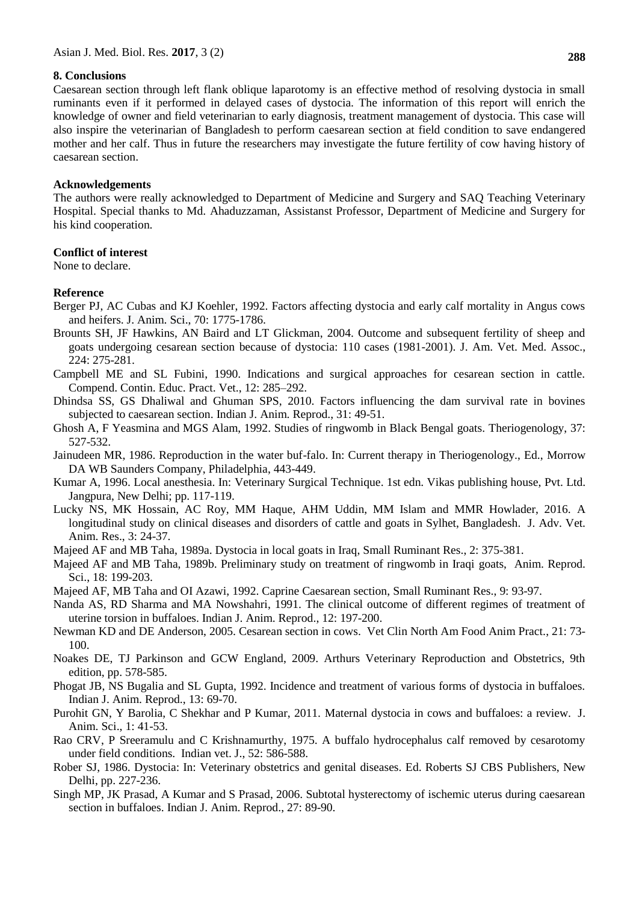### **8. Conclusions**

Caesarean section through left flank oblique laparotomy is an effective method of resolving dystocia in small ruminants even if it performed in delayed cases of dystocia. The information of this report will enrich the knowledge of owner and field veterinarian to early diagnosis, treatment management of dystocia. This case will also inspire the veterinarian of Bangladesh to perform caesarean section at field condition to save endangered mother and her calf. Thus in future the researchers may investigate the future fertility of cow having history of caesarean section.

#### **Acknowledgements**

The authors were really acknowledged to Department of Medicine and Surgery and SAQ Teaching Veterinary Hospital. Special thanks to Md. Ahaduzzaman, Assistanst Professor, Department of Medicine and Surgery for his kind cooperation.

# **Conflict of interest**

None to declare.

# **Reference**

- Berger PJ, AC Cubas and KJ Koehler, 1992. Factors affecting dystocia and early calf mortality in Angus cows and heifers. J. Anim. Sci., 70: 1775-1786.
- Brounts SH, JF Hawkins, AN Baird and LT Glickman, 2004. Outcome and subsequent fertility of sheep and goats undergoing cesarean section because of dystocia: 110 cases (1981-2001). J. Am. Vet. Med. Assoc., 224: 275-281.
- Campbell ME and SL Fubini, 1990. Indications and surgical approaches for cesarean section in cattle. Compend. Contin. Educ. Pract. Vet., 12: 285–292.
- Dhindsa SS, GS Dhaliwal and Ghuman SPS, 2010. Factors influencing the dam survival rate in bovines subjected to caesarean section. Indian J. Anim. Reprod., 31: 49-51.
- Ghosh A, F Yeasmina and MGS Alam, 1992. Studies of ringwomb in Black Bengal goats. Theriogenology, 37: 527-532.
- Jainudeen MR, 1986. Reproduction in the water buf-falo. In: Current therapy in Theriogenology., Ed., Morrow DA WB Saunders Company, Philadelphia, 443-449.
- Kumar A, 1996. Local anesthesia. In: Veterinary Surgical Technique. 1st edn. Vikas publishing house, Pvt. Ltd. Jangpura, New Delhi; pp. 117-119.
- Lucky NS, MK Hossain, AC Roy, MM Haque, AHM Uddin, MM Islam and MMR Howlader, 2016. A longitudinal study on clinical diseases and disorders of cattle and goats in Sylhet, Bangladesh. J. Adv. Vet. Anim. Res., 3: 24-37.
- Majeed AF and MB Taha, 1989a. Dystocia in local goats in Iraq, Small Ruminant Res., 2: 375-381.
- Majeed AF and MB Taha, 1989b. Preliminary study on treatment of ringwomb in Iraqi goats, Anim. Reprod. Sci., 18: 199-203.
- Majeed AF, MB Taha and OI Azawi, 1992. Caprine Caesarean section, Small Ruminant Res., 9: 93-97.
- Nanda AS, RD Sharma and MA Nowshahri, 1991. The clinical outcome of different regimes of treatment of uterine torsion in buffaloes. Indian J. Anim. Reprod., 12: 197-200.
- Newman KD and DE Anderson, 2005. Cesarean section in cows. Vet Clin North Am Food Anim Pract., 21: 73- 100.
- Noakes DE, TJ Parkinson and GCW England, 2009. Arthurs Veterinary Reproduction and Obstetrics, 9th edition, pp. 578-585.
- Phogat JB, NS Bugalia and SL Gupta, 1992. Incidence and treatment of various forms of dystocia in buffaloes. Indian J. Anim. Reprod., 13: 69-70.
- Purohit GN, Y Barolia, C Shekhar and P Kumar, 2011. Maternal dystocia in cows and buffaloes: a review. J. Anim. Sci., 1: 41-53.
- Rao CRV, P Sreeramulu and C Krishnamurthy, 1975. A buffalo hydrocephalus calf removed by cesarotomy under field conditions. Indian vet. J., 52: 586-588.
- Rober SJ, 1986. Dystocia: In: Veterinary obstetrics and genital diseases. Ed. Roberts SJ CBS Publishers, New Delhi, pp. 227-236.
- Singh MP, JK Prasad, A Kumar and S Prasad, 2006. Subtotal hysterectomy of ischemic uterus during caesarean section in buffaloes. Indian J. Anim. Reprod., 27: 89-90.